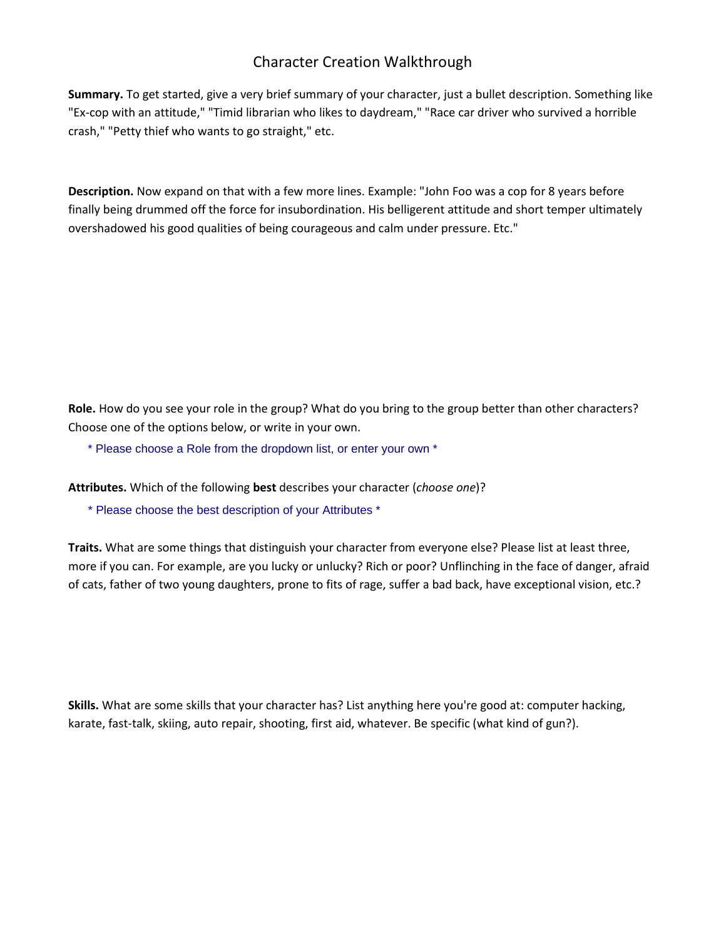## Character Creation Walkthrough

**Summary.** To get started, give a very brief summary of your character, just a bullet description. Something like "Ex-cop with an attitude," "Timid librarian who likes to daydream," "Race car driver who survived a horrible crash," "Petty thief who wants to go straight," etc.

**Description.** Now expand on that with a few more lines. Example: "John Foo was a cop for 8 years before finally being drummed off the force for insubordination. His belligerent attitude and short temper ultimately overshadowed his good qualities of being courageous and calm under pressure. Etc."

**Role.** How do you see your role in the group? What do you bring to the group better than other characters? Choose one of the options below, or write in your own.

\* Please choose a Role from the dropdown list, or enter your own \*

**Attributes.** Which of the following **best** describes your character (*choose one*)?

\* Please choose the best description of your Attributes \*

**Traits.** What are some things that distinguish your character from everyone else? Please list at least three, more if you can. For example, are you lucky or unlucky? Rich or poor? Unflinching in the face of danger, afraid of cats, father of two young daughters, prone to fits of rage, suffer a bad back, have exceptional vision, etc.?

**Skills.** What are some skills that your character has? List anything here you're good at: computer hacking, karate, fast-talk, skiing, auto repair, shooting, first aid, whatever. Be specific (what kind of gun?).